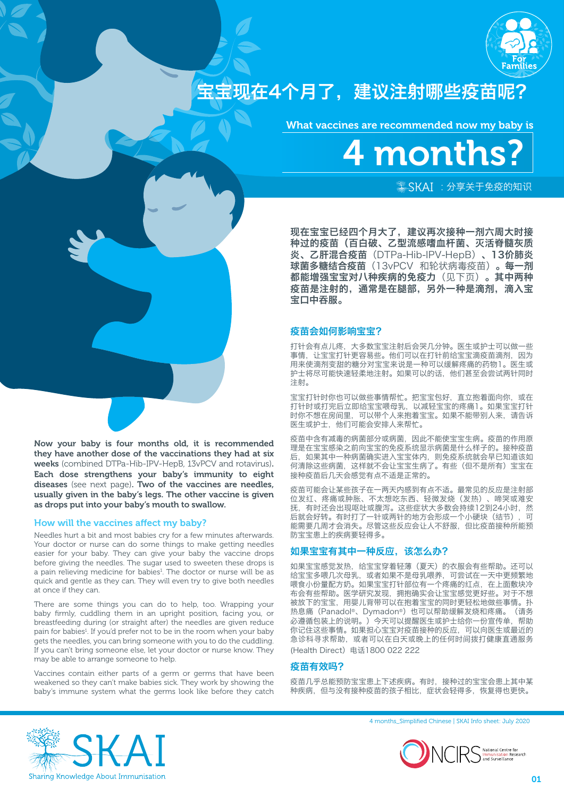

# 宝宝现在4个月了,建议注射哪些疫苗呢?

What vaccines are recommended now my baby is



 $*$ SKAI: 分享关于免疫的知识

现在宝宝已经四个月大了,建议再次接种一剂六周大时接 种过的疫苗(百白破、乙型流感嗜血杆菌、灭活脊髓灰质 炎、乙肝混合疫苗(DTPa-Hib-IPV-HepB)、13价肺炎 球菌多糖结合疫苗(13vPCV 和轮状病毒疫苗)。每一剂 都能增强宝宝对八种疾病的免疫力(见下页)。其中两种 疫苗是注射的,通常是在腿部,另外一种是滴剂,滴入宝 宝口中吞服。

## 疫苗会如何影响宝宝?

打针会有点儿疼,大多数宝宝注射后会哭几分钟。医生或护士可以做一些 事情,让宝宝打针更容易些。他们可以在打针前给宝宝滴疫苗滴剂,因为 用来使滴剂变甜的糖分对宝宝来说是一种可以缓解疼痛的药物1。医生或 护士将尽可能快速轻柔地注射。如果可以的话,他们甚至会尝试两针同时 注射。

宝宝打针时你也可以做些事情帮忙。把宝宝包好,直立抱着面向你,或在 打针时或打完后立即给宝宝喂母乳,以减轻宝宝的疼痛1。如果宝宝打针 时你不想在房间里,可以带个人来抱着宝宝。如果不能带别人来,请告诉 医生或护士,他们可能会安排人来帮忙。

疫苗中含有减毒的病菌部分或病菌,因此不能使宝宝生病。疫苗的作用原 理是在宝宝感染之前向宝宝的免疫系统显示病菌是什么样子的。接种疫苗 后,如果其中一种病菌确实进入宝宝体内,则免疫系统就会早已知道该如 何清除这些病菌,这样就不会让宝宝生病了。有些(但不是所有)宝宝在 接种疫苗后几天会感觉有点不适是正常的。

疫苗可能会让某些孩子在一两天内感到有点不适。最常见的反应是注射部 位发红、疼痛或肿胀、不太想吃东西、轻微发烧(发热)、啼哭或难安 抚,有时还会出现呕吐或腹泻。这些症状大多数会持续12到24小时,然 后就会好转。有时打了一针或两针的地方会形成一个小硬块(结节),可 能需要几周才会消失。尽管这些反应会让人不舒服,但比疫苗接种所能预 防宝宝患上的疾病要轻得多。

## 如果宝宝有其中一种反应,该怎么办?

如果宝宝感觉发热,给宝宝穿着轻薄(夏天)的衣服会有些帮助。还可以 给宝宝多喂几次母乳,或者如果不是母乳喂养,可尝试在一天中更频繁地 喂食小份量配方奶。如果宝宝打针部位有一个疼痛的红点,在上面敷块冷 布会有些帮助。医学研究发现,拥抱确实会让宝宝感觉更好些。对于不想 被放下的宝宝,用婴儿背带可以在抱着宝宝的同时更轻松地做些事情。扑 热息痛(Panadol®、Dymadon®)也可以帮助缓解发烧和疼痛。(请务 必遵循包装上的说明。)今天可以提醒医生或护士给你一份宣传单,帮助 你记住这些事情。如果担心宝宝对疫苗接种的反应,可以向医生或最近的 急诊科寻求帮助,或者可以在白天或晚上的任何时间拨打健康直通服务 (Health Direct)电话1800 022 222

### 疫苗有效吗?

疫苗几乎总能预防宝宝患上下述疾病。有时,接种过的宝宝会患上其中某 种疾病,但与没有接种疫苗的孩子相比,症状会轻得多,恢复得也更快。

may be able to arrange someone to help.

at once if they can.

Now your baby is four months old, it is recommended they have another dose of the vaccinations they had at six weeks (combined DTPa-Hib-IPV-HepB, 13vPCV and rotavirus). Each dose strengthens your baby's immunity to eight diseases (see next page). Two of the vaccines are needles, usually given in the baby's legs. The other vaccine is given

Needles hurt a bit and most babies cry for a few minutes afterwards. Your doctor or nurse can do some things to make getting needles easier for your baby. They can give your baby the vaccine drops before giving the needles. The sugar used to sweeten these drops is a pain relieving medicine for babies<sup>1</sup>. The doctor or nurse will be as quick and gentle as they can. They will even try to give both needles

There are some things you can do to help, too. Wrapping your baby firmly, cuddling them in an upright position, facing you, or breastfeeding during (or straight after) the needles are given reduce pain for babies<sup>1</sup>. If you'd prefer not to be in the room when your baby gets the needles, you can bring someone with you to do the cuddling. If you can't bring someone else, let your doctor or nurse know. They

Vaccines contain either parts of a germ or germs that have been weakened so they can't make babies sick. They work by showing the baby's immune system what the germs look like before they catch

as drops put into your baby's mouth to swallow.

How will the vaccines affect my baby?

4 months\_Simplified Chinese | SKAI Info sheet: July 2020

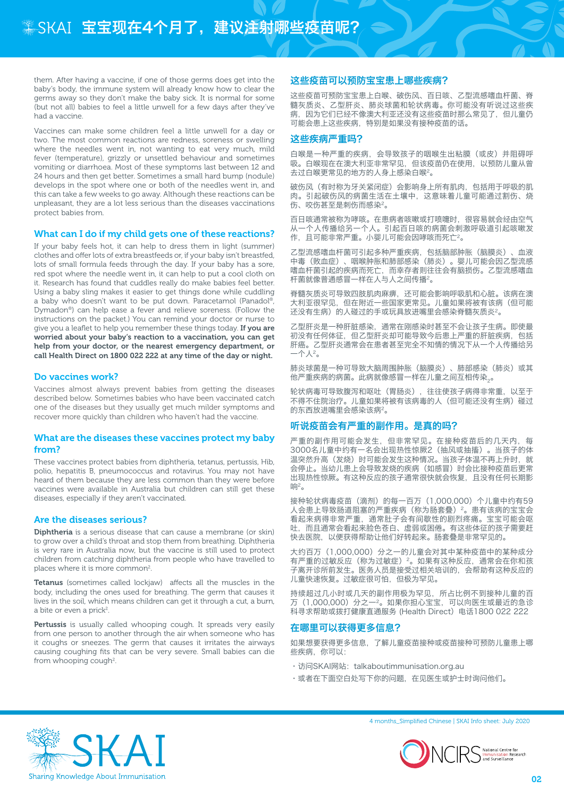them. After having a vaccine, if one of those germs does get into the baby's body, the immune system will already know how to clear the germs away so they don't make the baby sick. It is normal for some (but not all) babies to feel a little unwell for a few days after they've had a vaccine.

Vaccines can make some children feel a little unwell for a day or two. The most common reactions are redness, soreness or swelling where the needles went in, not wanting to eat very much, mild fever (temperature), grizzly or unsettled behaviour and sometimes vomiting or diarrhoea. Most of these symptoms last between 12 and 24 hours and then get better. Sometimes a small hard bump (nodule) develops in the spot where one or both of the needles went in, and this can take a few weeks to go away. Although these reactions can be unpleasant, they are a lot less serious than the diseases vaccinations protect babies from.

## What can I do if my child gets one of these reactions?

If your baby feels hot, it can help to dress them in light (summer) clothes and offer lots of extra breastfeeds or, if your baby isn't breastfed, lots of small formula feeds through the day. If your baby has a sore, red spot where the needle went in, it can help to put a cool cloth on it. Research has found that cuddles really do make babies feel better. Using a baby sling makes it easier to get things done while cuddling a baby who doesn't want to be put down. Paracetamol (Panadol®, Dymadon®) can help ease a fever and relieve soreness. (Follow the instructions on the packet.) You can remind your doctor or nurse to give you a leaflet to help you remember these things today. If you are worried about your baby's reaction to a vaccination, you can get help from your doctor, or the nearest emergency department, or call Health Direct on 1800 022 222 at any time of the day or night.

#### Do vaccines work?

Vaccines almost always prevent babies from getting the diseases described below. Sometimes babies who have been vaccinated catch one of the diseases but they usually get much milder symptoms and recover more quickly than children who haven't had the vaccine.

### What are the diseases these vaccines protect my baby from?

These vaccines protect babies from diphtheria, tetanus, pertussis, Hib, polio, hepatitis B, pneumococcus and rotavirus. You may not have heard of them because they are less common than they were before vaccines were available in Australia but children can still get these diseases, especially if they aren't vaccinated.

#### Are the diseases serious?

Diphtheria is a serious disease that can cause a membrane (or skin) to grow over a child's throat and stop them from breathing. Diphtheria is very rare in Australia now, but the vaccine is still used to protect children from catching diphtheria from people who have travelled to places where it is more common<sup>2</sup>.

Tetanus (sometimes called lockjaw) affects all the muscles in the body, including the ones used for breathing. The germ that causes it lives in the soil, which means children can get it through a cut, a burn, a bite or even a prick<sup>2</sup>.

Pertussis is usually called whooping cough. It spreads very easily from one person to another through the air when someone who has it coughs or sneezes. The germ that causes it irritates the airways causing coughing fits that can be very severe. Small babies can die from whooping cough<sup>2</sup>.

### 这些疫苗可以预防宝宝患上哪些疾病?

这些疫苗可预防宝宝患上白喉、破伤风、百日咳、乙型流感嗜血杆菌、脊 髓灰质炎、乙型肝炎、肺炎球菌和轮状病毒。你可能没有听说过这些疾 病,因为它们已经不像澳大利亚还没有这些疫苗时那么常见了,但儿童仍 可能会患上这些疾病,特别是如果没有接种疫苗的话。

## 这些疾病严重吗?

白喉是一种严重的疾病,会导致孩子的咽喉生出粘膜(或皮)并阻碍呼 吸。白喉现在在澳大利亚非常罕见,但该疫苗仍在使用,以预防儿童从曾 去过白喉更常见的地方的人身上感染白喉2。

破伤风(有时称为牙关紧闭症)会影响身上所有肌肉,包括用于呼吸的肌 肉。引起破伤风的病菌生活在土壤中,这意味着儿童可能通过割伤、烧 伤、咬伤甚至是刺伤而感染2。

百日咳通常被称为哮咳。在患病者咳嗽或打喷嚏时,很容易就会经由空气 从一个人传播给另一个人。引起百日咳的病菌会刺激呼吸道引起咳嗽发 作,且可能非常严重。小婴儿可能会因哮咳而死亡2。

乙型流感嗜血杆菌可引起多种严重疾病,包括脑部肿胀(脑膜炎)、血液 中毒(败血症)、咽喉肿胀和肺部感染(肺炎)。婴儿可能会因乙型流感 嗜血杆菌引起的疾病而死亡,而幸存者则往往会有脑损伤。乙型流感嗜血 杆菌就像普通感冒一样在人与人之间传播2。

脊髓灰质炎可导致四肢肌肉麻痹,还可能会影响呼吸肌和心脏。该病在澳 大利亚很罕见,但在附近一些国家更常见。儿童如果将被有该病(但可能 还没有生病)的人碰过的手或玩具放进嘴里会感染脊髓灰质炎2。

乙型肝炎是一种肝脏感染,通常在刚感染时甚至不会让孩子生病。即使最 初没有任何体征,但乙型肝炎却可能导致今后患上严重的肝脏疾病,包括 肝癌。乙型肝炎通常会在患者甚至完全不知情的情况下从一个人传播给另 一个人2。

肺炎球菌是一种可导致大脑周围肿胀(脑膜炎)、肺部感染(肺炎)或其 他严重疾病的病菌。此病就像感冒一样在儿童之间互相传染。。

轮状病毒可导致腹泻和呕吐(胃肠炎),往往使孩子病得非常重,以至于 不得不住院治疗。儿童如果将被有该病毒的人(但可能还没有生病)碰过 的东西放进嘴里会感染该病2。

#### 听说疫苗会有严重的副作用。是真的吗?

严重的副作用可能会发生,但非常罕见。在接种疫苗后的几天内,每 3000名儿童中约有一名会出现热性惊厥2(抽风或抽搐)。当孩子的体 温突然升高(发烧)时可能会发生这种情况。当孩子体温不再上升时,就 会停止。当幼儿患上会导致发烧的疾病(如感冒)时会比接种疫苗后更常 出现热性惊厥。有这种反应的孩子通常很快就会恢复,且没有任何长期影 响2。

接种轮状病毒疫苗(滴剂)的每一百万(1,000,000)个儿童中约有59 人会患上导致肠道阻塞的严重疾病(称为肠套叠)2。患有该病的宝宝会 看起来病得非常严重,通常肚子会有间歇性的剧烈疼痛。宝宝可能会呕 吐,而且通常会看起来脸色苍白、虚弱或困倦。有这些体征的孩子需要赶 快去医院,以便获得帮助让他们好转起来。肠套叠是非常罕见的。

大约百万(1,000,000)分之一的儿童会对其中某种疫苗中的某种成分 有严重的过敏反应(称为过敏症) 2。如果有这种反应, 通常会在你和孩 子离开诊所前发生。医务人员是接受过相关培训的,会帮助有这种反应的 儿童快速恢复。过敏症很可怕,但极为罕见。

持续超过几小时或几天的副作用极为罕见,所占比例不到接种儿童的百 万(1,000,000)分之一2。如果你担心宝宝,可以向医生或最近的急诊 科寻求帮助或拨打健康直通服务 (Health Direct)电话1800 022 222

#### 在哪里可以获得更多信息?

如果想要获得更多信息,了解儿童疫苗接种或疫苗接种可预防儿童患上哪 些疾病,你可以:

- · 访问SKAI网站: talkaboutimmunisation.org.au
- •或者在下面空白处写下你的问题,在见医生或护士时询问他们。



4 months\_Simplified Chinese | SKAI Info sheet: July 2020